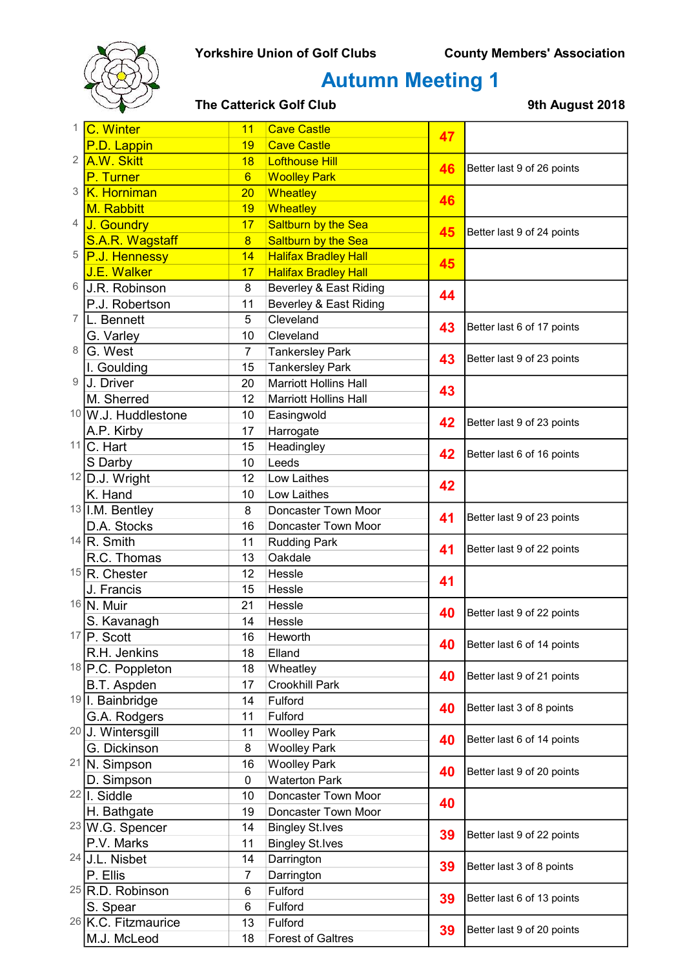

# Autumn Meeting 1

### The Catterick Golf Club 19th August 2018

| 1. | C. Winter                    | 11              | <b>Cave Castle</b>           | 47 |                            |
|----|------------------------------|-----------------|------------------------------|----|----------------------------|
|    | P.D. Lappin                  | 19              | <b>Cave Castle</b>           |    |                            |
| 2  | A.W. Skitt                   | 18              | <b>Lofthouse Hill</b>        | 46 | Better last 9 of 26 points |
|    | P. Turner                    | $6\overline{6}$ | <b>Woolley Park</b>          |    |                            |
| 3  | K. Horniman                  | 20              | Wheatley                     | 46 |                            |
|    | M. Rabbitt                   | 19              | Wheatley                     |    |                            |
| 4  | J. Goundry                   | 17              | Saltburn by the Sea          |    | Better last 9 of 24 points |
|    | S.A.R. Wagstaff              | $\overline{8}$  | Saltburn by the Sea          | 45 |                            |
| 5  | P.J. Hennessy                | 14              | <b>Halifax Bradley Hall</b>  | 45 |                            |
|    | J.E. Walker                  | 17              | <b>Halifax Bradley Hall</b>  |    |                            |
| 6  | J.R. Robinson                | 8               | Beverley & East Riding       | 44 |                            |
|    | P.J. Robertson               | 11              | Beverley & East Riding       |    |                            |
| 7  | L. Bennett                   | 5               | Cleveland                    |    |                            |
|    | G. Varley                    | 10              | Cleveland                    | 43 | Better last 6 of 17 points |
| 8  | G. West                      | $\overline{7}$  | <b>Tankersley Park</b>       |    |                            |
|    | I. Goulding                  | 15              | <b>Tankersley Park</b>       | 43 | Better last 9 of 23 points |
| 9  | J. Driver                    | 20              | <b>Marriott Hollins Hall</b> |    |                            |
|    | M. Sherred                   | 12              | <b>Marriott Hollins Hall</b> | 43 |                            |
|    | 10 W.J. Huddlestone          | 10              | Easingwold                   |    |                            |
|    | A.P. Kirby                   | 17              | Harrogate                    | 42 | Better last 9 of 23 points |
|    | $11$ C. Hart                 | 15              | Headingley                   |    |                            |
|    | S Darby                      | 10              | Leeds                        | 42 | Better last 6 of 16 points |
|    | 12 D.J. Wright               | 12              | Low Laithes                  |    |                            |
|    | K. Hand                      | 10              | Low Laithes                  | 42 |                            |
|    | $13$ I.M. Bentley            | 8               | Doncaster Town Moor          |    |                            |
|    | D.A. Stocks                  | 16              | Doncaster Town Moor          | 41 | Better last 9 of 23 points |
|    | $14$ <sub>R.</sub> Smith     | 11              | <b>Rudding Park</b>          |    |                            |
|    | R.C. Thomas                  | 13              | Oakdale                      | 41 | Better last 9 of 22 points |
|    | $15$ <sub>R.</sub> Chester   | 12              | Hessle                       |    |                            |
|    | J. Francis                   | 15              | Hessle                       | 41 |                            |
|    | 16 N. Muir                   | 21              | Hessle                       |    |                            |
|    | S. Kavanagh                  | 14              | Hessle                       | 40 | Better last 9 of 22 points |
|    | $17$ P. Scott                | 16              | Heworth                      |    |                            |
|    | R.H. Jenkins                 | 18              | Elland                       | 40 | Better last 6 of 14 points |
|    | 18 P.C. Poppleton            | 18              | Wheatley                     |    |                            |
|    | B.T. Aspden                  | 17              | Crookhill Park               | 40 | Better last 9 of 21 points |
|    | <sup>19</sup> I. Bainbridge  | 14              | Fulford                      |    |                            |
|    | G.A. Rodgers                 | 11              | Fulford                      | 40 | Better last 3 of 8 points  |
|    | <sup>20</sup> J. Wintersgill | 11              | <b>Woolley Park</b>          |    |                            |
|    | G. Dickinson                 | 8               | <b>Woolley Park</b>          | 40 | Better last 6 of 14 points |
|    | 21 N. Simpson                | 16              | <b>Woolley Park</b>          |    |                            |
|    | D. Simpson                   | $\mathbf 0$     | <b>Waterton Park</b>         | 40 | Better last 9 of 20 points |
|    | $22$   I. Siddle             | 10              | Doncaster Town Moor          |    |                            |
|    | H. Bathgate                  | 19              | Doncaster Town Moor          | 40 |                            |
|    | <sup>23</sup> W.G. Spencer   | 14              | <b>Bingley St.Ives</b>       |    |                            |
|    | P.V. Marks                   | 11              | <b>Bingley St.Ives</b>       | 39 | Better last 9 of 22 points |
|    | $24$ J.L. Nisbet             | 14              | Darrington                   | 39 | Better last 3 of 8 points  |
|    | P. Ellis                     | 7               | Darrington                   |    |                            |
|    | $25$ R.D. Robinson           | 6               | Fulford                      |    |                            |
|    | S. Spear                     | 6               | Fulford                      | 39 | Better last 6 of 13 points |
|    | $26$ K.C. Fitzmaurice        | 13              | Fulford                      |    |                            |
|    | M.J. McLeod                  | 18              | <b>Forest of Galtres</b>     | 39 | Better last 9 of 20 points |
|    |                              |                 |                              |    |                            |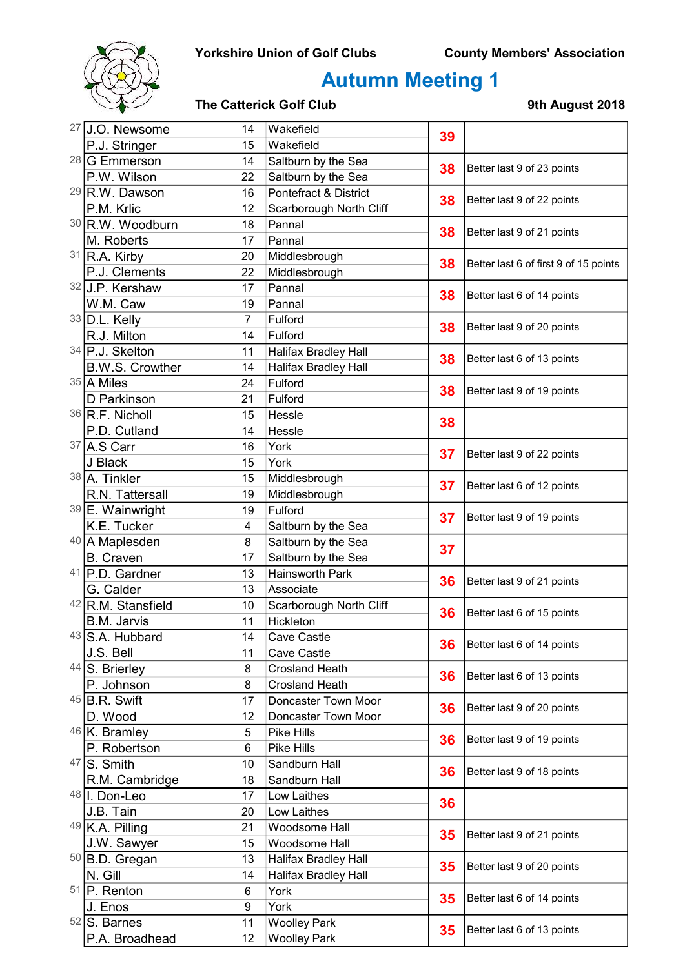## Yorkshire Union of Golf Clubs County Members' Association



# Autumn Meeting 1

### The Catterick Golf Club 19th August 2018

|    | 27 J.O. Newsome        | 14              | Wakefield                        | 39       |                                                          |
|----|------------------------|-----------------|----------------------------------|----------|----------------------------------------------------------|
|    | P.J. Stringer          | 15              | Wakefield                        |          |                                                          |
|    | 28 G Emmerson          | 14              | Saltburn by the Sea              | 38       | Better last 9 of 23 points                               |
|    | P.W. Wilson            | 22              | Saltburn by the Sea              |          |                                                          |
|    | 29 R.W. Dawson         | 16              | <b>Pontefract &amp; District</b> | 38       | Better last 9 of 22 points                               |
|    | P.M. Krlic             | 12              | Scarborough North Cliff          |          |                                                          |
|    | 30 R.W. Woodburn       | 18              | Pannal                           | 38       | Better last 9 of 21 points                               |
|    | M. Roberts             | 17              | Pannal                           |          |                                                          |
|    | $31$ R.A. Kirby        | 20              | Middlesbrough                    | 38       | Better last 6 of first 9 of 15 points                    |
|    | P.J. Clements          | 22              | Middlesbrough                    |          |                                                          |
|    | 32 J.P. Kershaw        | 17              | Pannal                           | 38       | Better last 6 of 14 points<br>Better last 9 of 20 points |
|    | W.M. Caw               | 19              | Pannal                           |          |                                                          |
|    | $33$ D.L. Kelly        | $\overline{7}$  | Fulford                          | 38       |                                                          |
|    | R.J. Milton            | 14              | Fulford                          |          |                                                          |
|    | 34 P.J. Skelton        | 11              | Halifax Bradley Hall             | 38       | Better last 6 of 13 points                               |
|    | <b>B.W.S. Crowther</b> | 14              | Halifax Bradley Hall             |          |                                                          |
|    | 35 A Miles             | 24              | Fulford                          |          |                                                          |
|    | D Parkinson            | 21              | Fulford                          | 38       | Better last 9 of 19 points                               |
|    | 36 R.F. Nicholl        | 15              | Hessle                           | 38       |                                                          |
|    | P.D. Cutland           | 14              | Hessle                           |          |                                                          |
|    | 37 A.S Carr            | 16              | York                             | 37       | Better last 9 of 22 points                               |
|    | J Black                | 15              | York                             |          |                                                          |
|    | 38 A. Tinkler          | 15              | Middlesbrough                    | 37       | Better last 6 of 12 points                               |
|    | R.N. Tattersall        | 19              | Middlesbrough                    |          |                                                          |
|    | 39 E. Wainwright       | 19              | Fulford                          | 37       | Better last 9 of 19 points                               |
|    | K.E. Tucker            | 4               | Saltburn by the Sea              |          |                                                          |
|    | 40 A Maplesden         | 8               | Saltburn by the Sea              | 37       |                                                          |
|    | <b>B.</b> Craven       | 17              | Saltburn by the Sea              |          |                                                          |
| 41 | P.D. Gardner           | 13              | <b>Hainsworth Park</b>           | 36       | Better last 9 of 21 points                               |
|    | G. Calder              | 13              | Associate                        |          |                                                          |
|    | 42 R.M. Stansfield     | 10              | Scarborough North Cliff          | 36       | Better last 6 of 15 points                               |
|    | <b>B.M. Jarvis</b>     | 11              | Hickleton                        |          |                                                          |
|    | 43 S.A. Hubbard        | 14              | Cave Castle                      | 36       | Better last 6 of 14 points                               |
|    | J.S. Bell              | 11              | Cave Castle                      |          |                                                          |
|    | 44 S. Brierley         | 8               | <b>Crosland Heath</b>            | 36       | Better last 6 of 13 points                               |
|    | P. Johnson             | 8               | <b>Crosland Heath</b>            |          |                                                          |
|    | $45$ B.R. Swift        | 17              | Doncaster Town Moor              | 36       | Better last 9 of 20 points                               |
|    | D. Wood                | 12              | Doncaster Town Moor              |          |                                                          |
|    | $46$ K. Bramley        | 5<br>Pike Hills |                                  | 36       | Better last 9 of 19 points                               |
|    | P. Robertson           | 6               | <b>Pike Hills</b>                |          |                                                          |
|    | $47$ S. Smith          | 10              | Sandburn Hall                    | 36       | Better last 9 of 18 points                               |
|    | R.M. Cambridge         | 18              | Sandburn Hall                    |          |                                                          |
|    | 48 I. Don-Leo          | 17              | Low Laithes                      | 36<br>35 |                                                          |
|    | J.B. Tain              | 20              | Low Laithes                      |          |                                                          |
|    | 49 K.A. Pilling        | 21              | Woodsome Hall                    |          | Better last 9 of 21 points                               |
|    | J.W. Sawyer            | 15              | Woodsome Hall                    |          |                                                          |
|    | 50 B.D. Gregan         | 13              | Halifax Bradley Hall             | 35       | Better last 9 of 20 points                               |
|    | N. Gill                | 14              | <b>Halifax Bradley Hall</b>      |          |                                                          |
|    | $51$ P. Renton         | 6               | York                             | 35       | Better last 6 of 14 points                               |
|    | J. Enos                | 9               | York                             |          |                                                          |
|    | $52$ S. Barnes         | 11              | <b>Woolley Park</b>              | 35       | Better last 6 of 13 points                               |
|    | P.A. Broadhead         | 12              | <b>Woolley Park</b>              |          |                                                          |
|    |                        |                 |                                  |          |                                                          |